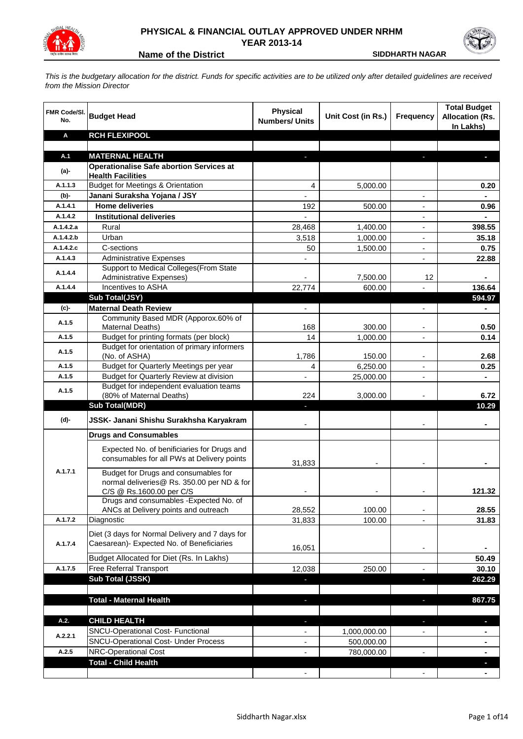



**Name of the District Construction Construction Construction Construction Construction Construction Construction Construction Construction Construction Construction Construction Construction Construction Construction Const** 

*This is the budgetary allocation for the district. Funds for specific activities are to be utilized only after detailed guidelines are received from the Mission Director*

| <b>FMR Code/SI.</b><br>No. | <b>Budget Head</b>                                                                           | <b>Physical</b><br><b>Numbers/ Units</b> | Unit Cost (in Rs.) | <b>Frequency</b>         | <b>Total Budget</b><br><b>Allocation (Rs.</b><br>In Lakhs) |
|----------------------------|----------------------------------------------------------------------------------------------|------------------------------------------|--------------------|--------------------------|------------------------------------------------------------|
| Α                          | <b>RCH FLEXIPOOL</b>                                                                         |                                          |                    |                          |                                                            |
|                            |                                                                                              |                                          |                    |                          |                                                            |
| A.1                        | <b>MATERNAL HEALTH</b>                                                                       |                                          |                    | н                        |                                                            |
| $(a)$ -                    | <b>Operationalise Safe abortion Services at</b><br><b>Health Facilities</b>                  |                                          |                    |                          |                                                            |
| A.1.1.3                    | <b>Budget for Meetings &amp; Orientation</b>                                                 | 4                                        | 5,000.00           |                          | 0.20                                                       |
| (b)-                       | Janani Suraksha Yojana / JSY                                                                 | $\overline{\phantom{a}}$                 |                    | $\overline{\phantom{a}}$ |                                                            |
| A.1.4.1                    | <b>Home deliveries</b>                                                                       | 192                                      | 500.00             | $\overline{\phantom{a}}$ | 0.96                                                       |
| A.1.4.2                    | <b>Institutional deliveries</b>                                                              | $\qquad \qquad \blacksquare$             |                    | $\overline{\phantom{a}}$ |                                                            |
| A.1.4.2.a                  | Rural                                                                                        | 28,468                                   | 1,400.00           | $\overline{\phantom{a}}$ | 398.55                                                     |
| A.1.4.2.b                  | Urban                                                                                        | 3,518                                    | 1,000.00           | $\overline{\phantom{a}}$ | 35.18                                                      |
| A.1.4.2.c                  | C-sections                                                                                   | 50                                       | 1,500.00           | $\overline{\phantom{a}}$ | 0.75                                                       |
| A.1.4.3                    | <b>Administrative Expenses</b>                                                               |                                          |                    |                          | 22.88                                                      |
| A.1.4.4                    | Support to Medical Colleges (From State                                                      |                                          |                    |                          |                                                            |
|                            | <b>Administrative Expenses)</b>                                                              |                                          | 7,500.00           | 12                       |                                                            |
| A.1.4.4                    | Incentives to ASHA                                                                           | 22,774                                   | 600.00             |                          | 136.64                                                     |
|                            | Sub Total(JSY)<br><b>Maternal Death Review</b>                                               |                                          |                    |                          | 594.97                                                     |
| (c)-                       | Community Based MDR (Apporox.60% of                                                          |                                          |                    |                          |                                                            |
| A.1.5                      | Maternal Deaths)                                                                             | 168                                      | 300.00             |                          | 0.50                                                       |
| A.1.5                      | Budget for printing formats (per block)                                                      | 14                                       | 1,000.00           |                          | 0.14                                                       |
| A.1.5                      | Budget for orientation of primary informers                                                  |                                          |                    |                          |                                                            |
|                            | (No. of ASHA)                                                                                | 1,786                                    | 150.00             |                          | 2.68                                                       |
| A.1.5                      | Budget for Quarterly Meetings per year                                                       | 4                                        | 6,250.00           |                          | 0.25                                                       |
| A.1.5                      | Budget for Quarterly Review at division                                                      |                                          | 25,000.00          |                          |                                                            |
| A.1.5                      | Budget for independent evaluation teams<br>(80% of Maternal Deaths)                          | 224                                      | 3,000.00           |                          | 6.72                                                       |
|                            | <b>Sub Total(MDR)</b>                                                                        |                                          |                    |                          | 10.29                                                      |
|                            |                                                                                              |                                          |                    |                          |                                                            |
| (d)-                       | JSSK- Janani Shishu Surakhsha Karyakram                                                      |                                          |                    |                          |                                                            |
|                            | <b>Drugs and Consumables</b>                                                                 |                                          |                    |                          |                                                            |
|                            | Expected No. of benificiaries for Drugs and                                                  |                                          |                    |                          |                                                            |
|                            | consumables for all PWs at Delivery points                                                   | 31,833                                   |                    |                          |                                                            |
| A.1.7.1                    | Budget for Drugs and consumables for                                                         |                                          |                    |                          |                                                            |
|                            | normal deliveries@ Rs. 350.00 per ND & for                                                   |                                          |                    |                          |                                                            |
|                            | C/S @ Rs.1600.00 per C/S                                                                     |                                          |                    |                          | 121.32                                                     |
|                            | Drugs and consumables - Expected No. of<br>ANCs at Delivery points and outreach              | 28,552                                   | 100.00             |                          | 28.55                                                      |
| A.1.7.2                    | Diagnostic                                                                                   | 31,833                                   | 100.00             |                          | 31.83                                                      |
|                            |                                                                                              |                                          |                    |                          |                                                            |
| A.1.7.4                    | Diet (3 days for Normal Delivery and 7 days for<br>Caesarean)- Expected No. of Beneficiaries |                                          |                    |                          |                                                            |
|                            |                                                                                              | 16,051                                   |                    |                          |                                                            |
|                            | Budget Allocated for Diet (Rs. In Lakhs)                                                     |                                          |                    |                          | 50.49                                                      |
| A.1.7.5                    | Free Referral Transport                                                                      | 12,038                                   | 250.00             |                          | 30.10                                                      |
|                            | Sub Total (JSSK)                                                                             |                                          |                    | ٠                        | 262.29                                                     |
|                            |                                                                                              |                                          |                    |                          |                                                            |
|                            | <b>Total - Maternal Health</b>                                                               | J,                                       |                    | $\overline{\phantom{a}}$ | 867.75                                                     |
| A.2.                       | <b>CHILD HEALTH</b>                                                                          |                                          |                    |                          |                                                            |
|                            | SNCU-Operational Cost- Functional                                                            |                                          | 1,000,000.00       |                          |                                                            |
| A.2.2.1                    | <b>SNCU-Operational Cost- Under Process</b>                                                  |                                          | 500,000.00         |                          |                                                            |
| A.2.5                      | <b>NRC-Operational Cost</b>                                                                  |                                          | 780,000.00         |                          |                                                            |
|                            | <b>Total - Child Health</b>                                                                  |                                          |                    |                          |                                                            |
|                            |                                                                                              |                                          |                    |                          |                                                            |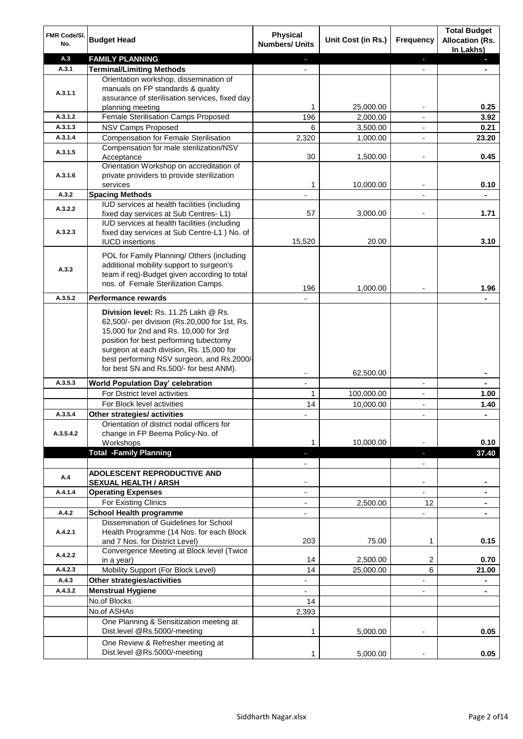| FMR Code/SI.<br>No. | <b>Budget Head</b>                                                                 | <b>Physical</b><br><b>Numbers/ Units</b> | Unit Cost (in Rs.) | Frequency                | <b>Total Budget</b><br><b>Allocation (Rs.</b><br>In Lakhs) |
|---------------------|------------------------------------------------------------------------------------|------------------------------------------|--------------------|--------------------------|------------------------------------------------------------|
| A.3                 | <b>FAMILY PLANNING</b>                                                             | $\sim$                                   |                    | ÷.                       | $\blacksquare$                                             |
| A.3.1               | <b>Terminal/Limiting Methods</b>                                                   |                                          |                    |                          |                                                            |
|                     | Orientation workshop, dissemination of                                             |                                          |                    |                          |                                                            |
| A.3.1.1             | manuals on FP standards & quality                                                  |                                          |                    |                          |                                                            |
|                     | assurance of sterilisation services, fixed day                                     |                                          |                    |                          |                                                            |
|                     | planning meeting                                                                   | 1                                        | 25,000.00          | $\overline{\phantom{a}}$ | 0.25                                                       |
| A.3.1.2             | Female Sterilisation Camps Proposed                                                | 196                                      | 2,000.00           | $\overline{\phantom{a}}$ | 3.92                                                       |
| A.3.1.3             | NSV Camps Proposed                                                                 | 6                                        | 3,500.00           | $\blacksquare$           | 0.21                                                       |
| A.3.1.4             | <b>Compensation for Female Sterilisation</b>                                       | 2,320                                    | 1,000.00           | $\overline{\phantom{a}}$ | 23.20                                                      |
| A.3.1.5             | Compensation for male sterilization/NSV<br>Acceptance                              | 30                                       | 1,500.00           | $\overline{\phantom{a}}$ | 0.45                                                       |
|                     | Orientation Workshop on accreditation of                                           |                                          |                    |                          |                                                            |
| A.3.1.6             | private providers to provide sterilization<br>services                             | 1                                        | 10,000.00          |                          | 0.10                                                       |
| A.3.2               | <b>Spacing Methods</b>                                                             |                                          |                    |                          |                                                            |
|                     | IUD services at health facilities (including                                       |                                          |                    |                          |                                                            |
| A.3.2.2             | fixed day services at Sub Centres-L1)                                              | 57                                       | 3,000.00           |                          | 1.71                                                       |
|                     | IUD services at health facilities (including                                       |                                          |                    |                          |                                                            |
| A.3.2.3             | fixed day services at Sub Centre-L1 ) No. of                                       |                                          |                    |                          |                                                            |
|                     | <b>IUCD</b> insertions                                                             | 15,520                                   | 20.00              |                          | 3.10                                                       |
|                     | POL for Family Planning/ Others (including                                         |                                          |                    |                          |                                                            |
|                     | additional mobility support to surgeon's                                           |                                          |                    |                          |                                                            |
| A.3.3               | team if req)-Budget given according to total                                       |                                          |                    |                          |                                                            |
|                     | nos. of Female Sterilization Camps.                                                |                                          |                    |                          |                                                            |
| A.3.5.2             |                                                                                    | 196                                      | 1,000.00           |                          | 1.96                                                       |
|                     | <b>Performance rewards</b>                                                         |                                          |                    |                          |                                                            |
|                     | Division level: Rs. 11.25 Lakh @ Rs.                                               |                                          |                    |                          |                                                            |
|                     | 62,500/- per division (Rs.20,000 for 1st, Rs.                                      |                                          |                    |                          |                                                            |
|                     | 15,000 for 2nd and Rs. 10,000 for 3rd                                              |                                          |                    |                          |                                                            |
|                     | position for best performing tubectomy<br>surgeon at each division, Rs. 15,000 for |                                          |                    |                          |                                                            |
|                     | best performing NSV surgeon, and Rs.2000/-                                         |                                          |                    |                          |                                                            |
|                     | for best SN and Rs.500/- for best ANM).                                            |                                          |                    |                          |                                                            |
|                     |                                                                                    |                                          | 62,500.00          |                          |                                                            |
| A.3.5.3             | World Population Day' celebration                                                  |                                          |                    | $\overline{a}$           |                                                            |
|                     | For District level activities                                                      | $\mathbf{1}$                             | 100,000.00         | $\blacksquare$           | 1.00                                                       |
|                     | For Block level activities                                                         | 14                                       | 10,000.00          | $\overline{\phantom{a}}$ | 1.40                                                       |
| A.3.5.4             | Other strategies/ activities                                                       |                                          |                    | $\overline{\phantom{a}}$ |                                                            |
|                     | Orientation of district nodal officers for                                         |                                          |                    |                          |                                                            |
| A.3.5.4.2           | change in FP Beema Policy-No. of                                                   |                                          | 10.000.00          |                          |                                                            |
|                     | Workshops<br><b>Total -Family Planning</b>                                         | 1                                        |                    |                          | 0.10                                                       |
|                     |                                                                                    | J                                        |                    | ٠                        | 37.40                                                      |
|                     | ADOLESCENT REPRODUCTIVE AND                                                        |                                          |                    | $\overline{\phantom{0}}$ |                                                            |
| A.4                 | <b>SEXUAL HEALTH / ARSH</b>                                                        |                                          |                    |                          |                                                            |
| A.4.1.4             | <b>Operating Expenses</b>                                                          | $\overline{\phantom{a}}$                 |                    |                          |                                                            |
|                     | For Existing Clinics                                                               | $\overline{a}$                           | 2,500.00           | 12                       |                                                            |
| A.4.2               | <b>School Health programme</b>                                                     |                                          |                    | ÷.                       |                                                            |
|                     | Dissemination of Guidelines for School                                             |                                          |                    |                          |                                                            |
| A.4.2.1             | Health Programme (14 Nos. for each Block                                           |                                          |                    |                          |                                                            |
|                     | and 7 Nos. for District Level)                                                     | 203                                      | 75.00              | 1                        | 0.15                                                       |
| A.4.2.2             | Convergence Meeting at Block level (Twice                                          |                                          |                    |                          |                                                            |
|                     | in a year)                                                                         | 14                                       | 2,500.00           | 2                        | 0.70                                                       |
| A.4.2.3             | Mobility Support (For Block Level)                                                 | 14                                       | 25,000.00          | 6                        | 21.00                                                      |
| A.4.3               | Other strategies/activities                                                        | $\overline{\phantom{a}}$                 |                    | ÷,                       | $\blacksquare$                                             |
| A.4.3.2             | <b>Menstrual Hygiene</b>                                                           | $\overline{\phantom{a}}$                 |                    | $\blacksquare$           | $\blacksquare$                                             |
|                     | No.of Blocks                                                                       | 14                                       |                    |                          |                                                            |
|                     | No.of ASHAs                                                                        | 2,393                                    |                    |                          |                                                            |
|                     | One Planning & Sensitization meeting at                                            |                                          |                    |                          |                                                            |
|                     | Dist.level @Rs.5000/-meeting                                                       | 1                                        | 5,000.00           |                          | 0.05                                                       |
|                     | One Review & Refresher meeting at                                                  |                                          |                    |                          |                                                            |
|                     | Dist.level @Rs.5000/-meeting                                                       | 1                                        | 5,000.00           |                          | 0.05                                                       |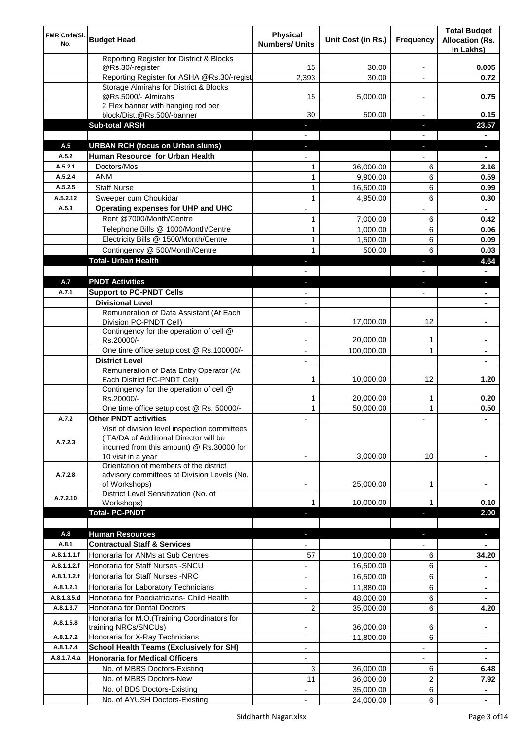| FMR Code/SI. |                                                                               | <b>Physical</b>          |                        |                          | <b>Total Budget</b>    |
|--------------|-------------------------------------------------------------------------------|--------------------------|------------------------|--------------------------|------------------------|
| No.          | <b>Budget Head</b>                                                            | <b>Numbers/ Units</b>    | Unit Cost (in Rs.)     | <b>Frequency</b>         | <b>Allocation (Rs.</b> |
|              |                                                                               |                          |                        |                          | In Lakhs)              |
|              | Reporting Register for District & Blocks                                      |                          |                        |                          |                        |
|              | @Rs.30/-register<br>Reporting Register for ASHA @Rs.30/-regist                | 15                       | 30.00                  |                          | 0.005                  |
|              | Storage Almirahs for District & Blocks                                        | 2,393                    | 30.00                  |                          | 0.72                   |
|              | @Rs.5000/- Almirahs                                                           | 15                       | 5,000.00               | ۰                        | 0.75                   |
|              | 2 Flex banner with hanging rod per                                            |                          |                        |                          |                        |
|              | block/Dist.@Rs.500/-banner                                                    | 30                       | 500.00                 |                          | 0.15                   |
|              | <b>Sub-total ARSH</b>                                                         |                          |                        |                          | 23.57                  |
|              |                                                                               |                          |                        |                          |                        |
| A.5          | <b>URBAN RCH (focus on Urban slums)</b>                                       |                          |                        |                          | o.                     |
| A.5.2        | Human Resource for Urban Health                                               |                          |                        |                          |                        |
| A.5.2.1      | Doctors/Mos                                                                   | $\mathbf{1}$             | 36,000.00              | 6                        | 2.16                   |
| A.5.2.4      | <b>ANM</b>                                                                    | $\mathbf{1}$             | 9,900.00               | 6                        | 0.59                   |
| A.5.2.5      | <b>Staff Nurse</b>                                                            | $\mathbf{1}$             | 16,500.00              | 6                        | 0.99                   |
| A.5.2.12     | Sweeper cum Choukidar                                                         | $\mathbf{1}$             | 4,950.00               | 6                        | 0.30                   |
| A.5.3        | Operating expenses for UHP and UHC                                            |                          |                        |                          | $\blacksquare$         |
|              | Rent @7000/Month/Centre                                                       | $\mathbf{1}$             | 7,000.00               | 6                        | 0.42                   |
|              | Telephone Bills @ 1000/Month/Centre                                           | $\mathbf{1}$             | 1,000.00               | 6                        | 0.06                   |
|              | Electricity Bills @ 1500/Month/Centre                                         | $\mathbf{1}$             | 1,500.00               | 6                        | 0.09                   |
|              | Contingency @ 500/Month/Centre                                                | $\mathbf{1}$             | 500.00                 | 6                        | 0.03                   |
|              | <b>Total- Urban Health</b>                                                    |                          |                        | п                        | 4.64                   |
|              |                                                                               |                          |                        | L.                       | $\blacksquare$         |
| A.7          | <b>PNDT Activities</b>                                                        | J                        |                        | L.                       | п                      |
| A.7.1        | <b>Support to PC-PNDT Cells</b>                                               |                          |                        |                          |                        |
|              | <b>Divisional Level</b>                                                       |                          |                        |                          |                        |
|              | Remuneration of Data Assistant (At Each                                       |                          |                        |                          |                        |
|              | Division PC-PNDT Cell)                                                        |                          | 17,000.00              | 12                       |                        |
|              | Contingency for the operation of cell @                                       |                          |                        |                          |                        |
|              | Rs.20000/-                                                                    |                          | 20,000.00              | 1                        |                        |
|              | One time office setup cost @ Rs.100000/-                                      |                          | 100,000.00             | $\mathbf{1}$             |                        |
|              | <b>District Level</b>                                                         |                          |                        |                          |                        |
|              | Remuneration of Data Entry Operator (At                                       |                          |                        |                          |                        |
|              | Each District PC-PNDT Cell)                                                   | 1                        | 10,000.00              | 12                       | 1.20                   |
|              | Contingency for the operation of cell @                                       |                          |                        |                          |                        |
|              | Rs.20000/-<br>One time office setup cost @ Rs. 50000/-                        | 1<br>$\mathbf{1}$        | 20,000.00<br>50,000.00 | 1                        | 0.20                   |
|              |                                                                               |                          |                        | $\mathbf{1}$             | 0.50                   |
| A.7.2        | <b>Other PNDT activities</b><br>Visit of division level inspection committees |                          |                        |                          |                        |
|              | (TA/DA of Additional Director will be                                         |                          |                        |                          |                        |
| A.7.2.3      | incurred from this amount) @ Rs.30000 for                                     |                          |                        |                          |                        |
|              | 10 visit in a year                                                            |                          | 3,000.00               | 10                       |                        |
|              | Orientation of members of the district                                        |                          |                        |                          |                        |
| A.7.2.8      | advisory committees at Division Levels (No.                                   |                          |                        |                          |                        |
|              | of Workshops)                                                                 |                          | 25,000.00              | 1                        |                        |
| A.7.2.10     | District Level Sensitization (No. of                                          |                          |                        |                          |                        |
|              | Workshops)                                                                    | 1                        | 10,000.00              | 1                        | 0.10                   |
|              | <b>Total-PC-PNDT</b>                                                          | J,                       |                        | J                        | 2.00                   |
|              |                                                                               |                          |                        |                          |                        |
| A.8          | <b>Human Resources</b>                                                        | $\sim$                   |                        | $\overline{\phantom{a}}$ | a,                     |
| A.8.1        | <b>Contractual Staff &amp; Services</b>                                       |                          |                        | $\blacksquare$           | $\blacksquare$         |
| A.8.1.1.1.f  | Honoraria for ANMs at Sub Centres                                             | 57                       | 10,000.00              | 6                        | 34.20                  |
| A.8.1.1.2.f  | Honoraria for Staff Nurses - SNCU                                             |                          | 16,500.00              | 6                        |                        |
| A.8.1.1.2.f  | Honoraria for Staff Nurses -NRC                                               |                          | 16,500.00              | 6                        |                        |
| A.8.1.2.1    | Honoraria for Laboratory Technicians                                          | $\overline{\phantom{a}}$ | 11,880.00              | 6                        |                        |
| A.8.1.3.5.d  | Honoraria for Paediatricians- Child Health                                    |                          | 48,000.00              | 6                        |                        |
| A.8.1.3.7    | Honoraria for Dental Doctors                                                  | 2                        | 35,000.00              | 6                        | 4.20                   |
| A.8.1.5.8    | Honoraria for M.O.(Training Coordinators for                                  |                          |                        |                          |                        |
|              | training NRCs/SNCUs)                                                          |                          | 36,000.00              | 6                        | $\blacksquare$         |
| A.8.1.7.2    | Honoraria for X-Ray Technicians                                               |                          | 11,800.00              | 6                        |                        |
| A.8.1.7.4    | <b>School Health Teams (Exclusively for SH)</b>                               |                          |                        | $\overline{\phantom{a}}$ | ٠                      |
| A.8.1.7.4.a  | <b>Honoraria for Medical Officers</b>                                         |                          |                        |                          |                        |
|              | No. of MBBS Doctors-Existing                                                  | 3                        | 36,000.00              | 6                        | 6.48                   |
|              | No. of MBBS Doctors-New                                                       | 11                       | 36,000.00              | $\overline{c}$           | 7.92                   |
|              | No. of BDS Doctors-Existing                                                   |                          | 35,000.00              | 6                        |                        |
|              | No. of AYUSH Doctors-Existing                                                 |                          | 24,000.00              | 6                        |                        |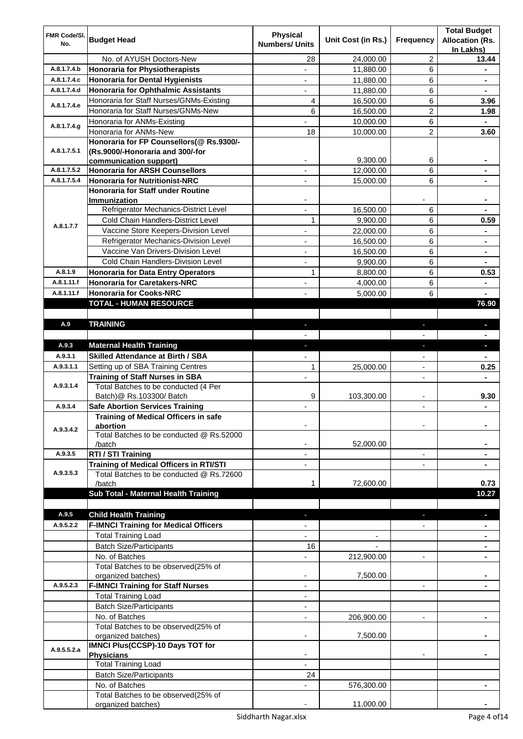| <b>FMR Code/SI.</b>   |                                                                                            | <b>Physical</b>       |                    |                | <b>Total Budget</b>                 |
|-----------------------|--------------------------------------------------------------------------------------------|-----------------------|--------------------|----------------|-------------------------------------|
| No.                   | <b>Budget Head</b>                                                                         | <b>Numbers/ Units</b> | Unit Cost (in Rs.) | Frequency      | <b>Allocation (Rs.</b><br>In Lakhs) |
|                       | No. of AYUSH Doctors-New                                                                   | 28                    | 24,000.00          | 2              | 13.44                               |
| A.8.1.7.4.b           | <b>Honoraria for Physiotherapists</b>                                                      |                       | 11,880.00          | 6              |                                     |
| A.8.1.7.4.c           | <b>Honoraria for Dental Hygienists</b>                                                     |                       | 11,880.00          | 6              |                                     |
| A.8.1.7.4.d           | Honoraria for Ophthalmic Assistants                                                        | $\sim$                | 11,880.00          | 6              | $\blacksquare$                      |
|                       | Honoraria for Staff Nurses/GNMs-Existing                                                   | 4                     | 16,500.00          | 6              | 3.96                                |
| A.8.1.7.4.e           | Honoraria for Staff Nurses/GNMs-New                                                        | 6                     | 16,500.00          | $\overline{2}$ | 1.98                                |
| A.8.1.7.4.g           | Honoraria for ANMs-Existing                                                                |                       | 10,000.00          | 6              | $\blacksquare$                      |
|                       | Honoraria for ANMs-New                                                                     | 18                    | 10,000.00          | $\overline{2}$ | 3.60                                |
|                       | Honoraria for FP Counsellors(@ Rs.9300/-                                                   |                       |                    |                |                                     |
| A.8.1.7.5.1           | (Rs.9000/-Honoraria and 300/-for                                                           |                       |                    |                |                                     |
|                       | communication support)                                                                     |                       | 9,300.00           | 6              |                                     |
| A.8.1.7.5.2           | <b>Honoraria for ARSH Counsellors</b>                                                      |                       | 12,000.00          | 6              |                                     |
| A.8.1.7.5.4           | <b>Honoraria for Nutritionist-NRC</b>                                                      |                       | 15,000.00          | 6              |                                     |
|                       | Honoraria for Staff under Routine                                                          |                       |                    |                |                                     |
|                       | Immunization<br>Refrigerator Mechanics-District Level                                      |                       | 16,500.00          | 6              |                                     |
|                       | Cold Chain Handlers-District Level                                                         | $\mathbf{1}$          | 9,900.00           | 6              | 0.59                                |
| A.8.1.7.7             | Vaccine Store Keepers-Division Level                                                       |                       |                    | 6              |                                     |
|                       | Refrigerator Mechanics-Division Level                                                      |                       | 22,000.00          |                |                                     |
|                       | Vaccine Van Drivers-Division Level                                                         |                       | 16,500.00          | 6              |                                     |
|                       | <b>Cold Chain Handlers-Division Level</b>                                                  |                       | 16,500.00          | 6              | $\blacksquare$                      |
|                       |                                                                                            |                       | 9,900.00           | 6              |                                     |
| A.8.1.9<br>A.8.1.11.f | <b>Honoraria for Data Entry Operators</b>                                                  | 1                     | 8,800.00           | 6              | 0.53                                |
| A.8.1.11.f            | <b>Honoraria for Caretakers-NRC</b>                                                        |                       | 4,000.00           | 6              |                                     |
|                       | <b>Honoraria for Cooks-NRC</b>                                                             |                       | 5,000.00           | 6              |                                     |
|                       | <b>TOTAL - HUMAN RESOURCE</b>                                                              |                       |                    |                | 76.90                               |
| A.9                   | <b>TRAINING</b>                                                                            |                       |                    |                | ь                                   |
|                       |                                                                                            |                       |                    |                |                                     |
| A.9.3                 | <b>Maternal Health Training</b>                                                            |                       |                    |                |                                     |
| A.9.3.1               | <b>Skilled Attendance at Birth / SBA</b>                                                   |                       |                    |                |                                     |
| A.9.3.1.1             | Setting up of SBA Training Centres                                                         | 1                     | 25,000.00          |                | 0.25                                |
|                       | <b>Training of Staff Nurses in SBA</b>                                                     |                       |                    | ä,             |                                     |
| A.9.3.1.4             | Total Batches to be conducted (4 Per                                                       |                       |                    |                |                                     |
|                       | Batch) @ Rs.103300/ Batch                                                                  | 9                     | 103,300.00         | Ĭ.             | 9.30                                |
| A.9.3.4               | <b>Safe Abortion Services Training</b>                                                     |                       |                    | ÷,             |                                     |
|                       | <b>Training of Medical Officers in safe</b>                                                |                       |                    |                |                                     |
| A.9.3.4.2             | abortion                                                                                   |                       |                    |                |                                     |
|                       | Total Batches to be conducted @ Rs.52000                                                   |                       |                    |                |                                     |
|                       | /batch                                                                                     |                       | 52,000.00          |                |                                     |
| A.9.3.5               | RTI / STI Training                                                                         |                       |                    |                |                                     |
| A.9.3.5.3             | <b>Training of Medical Officers in RTI/STI</b><br>Total Batches to be conducted @ Rs.72600 |                       |                    |                |                                     |
|                       | /batch                                                                                     |                       | 72,600.00          |                | 0.73                                |
|                       | Sub Total - Maternal Health Training                                                       |                       |                    |                | 10.27                               |
|                       |                                                                                            |                       |                    |                |                                     |
| A.9.5                 | <b>Child Health Training</b>                                                               |                       |                    |                | $\blacksquare$                      |
| A.9.5.2.2             | <b>F-IMNCI Training for Medical Officers</b>                                               |                       |                    |                |                                     |
|                       | <b>Total Training Load</b>                                                                 |                       |                    |                |                                     |
|                       | <b>Batch Size/Participants</b>                                                             | 16                    |                    |                |                                     |
|                       | No. of Batches                                                                             |                       | 212,900.00         |                |                                     |
|                       | Total Batches to be observed(25% of                                                        |                       |                    |                |                                     |
|                       | organized batches)                                                                         |                       | 7,500.00           |                |                                     |
| A.9.5.2.3             | <b>F-IMNCI Training for Staff Nurses</b>                                                   |                       |                    |                |                                     |
|                       | <b>Total Training Load</b>                                                                 |                       |                    |                |                                     |
|                       | <b>Batch Size/Participants</b>                                                             |                       |                    |                |                                     |
|                       | No. of Batches                                                                             |                       | 206,900.00         | $\overline{a}$ |                                     |
|                       | Total Batches to be observed(25% of                                                        |                       |                    |                |                                     |
|                       | organized batches)                                                                         |                       | 7,500.00           |                |                                     |
| A.9.5.5.2.a           | <b>IMNCI Plus(CCSP)-10 Days TOT for</b>                                                    |                       |                    |                |                                     |
|                       | Physicians<br><b>Total Training Load</b>                                                   |                       |                    |                |                                     |
|                       |                                                                                            |                       |                    |                |                                     |
|                       | <b>Batch Size/Participants</b>                                                             | 24                    |                    |                |                                     |
|                       | No. of Batches<br>Total Batches to be observed(25% of                                      |                       | 576,300.00         |                |                                     |
|                       | organized batches)                                                                         |                       | 11,000.00          |                |                                     |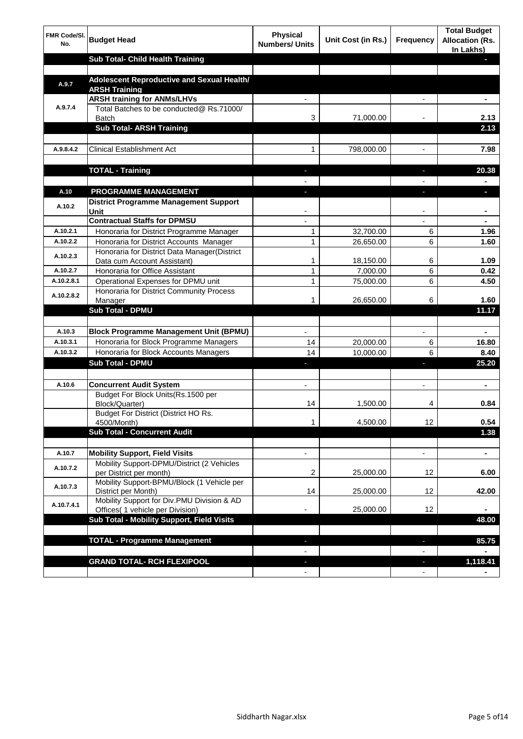| <b>FMR Code/SI.</b><br>No. | <b>Budget Head</b>                                                             | <b>Physical</b><br><b>Numbers/ Units</b> | Unit Cost (in Rs.) | <b>Frequency</b>         | <b>Total Budget</b><br><b>Allocation (Rs.</b><br>In Lakhs) |
|----------------------------|--------------------------------------------------------------------------------|------------------------------------------|--------------------|--------------------------|------------------------------------------------------------|
|                            | Sub Total- Child Health Training                                               |                                          |                    |                          |                                                            |
|                            |                                                                                |                                          |                    |                          |                                                            |
| A.9.7                      | Adolescent Reproductive and Sexual Health/<br><b>ARSH Training</b>             |                                          |                    |                          |                                                            |
| A.9.7.4                    | <b>ARSH training for ANMs/LHVs</b><br>Total Batches to be conducted@ Rs.71000/ |                                          |                    |                          |                                                            |
|                            | <b>Batch</b>                                                                   | 3                                        | 71,000.00          |                          | 2.13                                                       |
|                            | <b>Sub Total- ARSH Training</b>                                                |                                          |                    |                          | 2.13                                                       |
|                            |                                                                                |                                          |                    |                          |                                                            |
| A.9.8.4.2                  | <b>Clinical Establishment Act</b>                                              | 1                                        | 798,000.00         | $\overline{a}$           | 7.98                                                       |
|                            |                                                                                |                                          |                    |                          |                                                            |
|                            | <b>TOTAL - Training</b>                                                        |                                          |                    | н                        | 20.38                                                      |
|                            |                                                                                |                                          |                    |                          |                                                            |
| A.10<br>A.10.2             | <b>PROGRAMME MANAGEMENT</b><br>District Programme Management Support           |                                          |                    | п                        |                                                            |
|                            | <b>Unit</b>                                                                    |                                          |                    | ٠                        | ٠                                                          |
|                            | <b>Contractual Staffs for DPMSU</b>                                            |                                          |                    |                          |                                                            |
| A.10.2.1                   | Honoraria for District Programme Manager                                       | 1                                        | 32,700.00          | 6                        | 1.96                                                       |
| A.10.2.2                   | Honoraria for District Accounts Manager                                        | 1                                        | 26,650.00          | 6                        | 1.60                                                       |
| A.10.2.3                   | Honoraria for District Data Manager(District<br>Data cum Account Assistant)    | 1                                        | 18,150.00          | 6                        | 1.09                                                       |
| A.10.2.7                   | Honoraria for Office Assistant                                                 | 1                                        | 7,000.00           | 6                        | 0.42                                                       |
| A.10.2.8.1                 | Operational Expenses for DPMU unit                                             | 1                                        | 75,000.00          | 6                        | 4.50                                                       |
|                            | Honoraria for District Community Process                                       |                                          |                    |                          |                                                            |
| A.10.2.8.2                 | Manager                                                                        |                                          | 26,650.00          | 6                        | 1.60                                                       |
|                            | <b>Sub Total - DPMU</b>                                                        |                                          |                    |                          | 11.17                                                      |
|                            |                                                                                |                                          |                    |                          |                                                            |
| A.10.3                     | <b>Block Programme Management Unit (BPMU)</b>                                  | $\overline{\phantom{0}}$                 |                    | $\overline{\phantom{a}}$ | $\blacksquare$                                             |
| A.10.3.1                   | Honoraria for Block Programme Managers                                         | 14                                       | 20,000.00          | 6                        | 16.80                                                      |
| A.10.3.2                   | Honoraria for Block Accounts Managers                                          | 14                                       | 10,000.00          | 6                        | 8.40                                                       |
|                            | <b>Sub Total - DPMU</b>                                                        | ٠                                        |                    | ٠                        | 25.20                                                      |
|                            |                                                                                |                                          |                    |                          |                                                            |
| A.10.6                     | <b>Concurrent Audit System</b>                                                 | $\blacksquare$                           |                    | $\overline{\phantom{a}}$ | $\blacksquare$                                             |
|                            | Budget For Block Units(Rs. 1500 per<br>Block/Quarter)                          | 14                                       | 1,500.00           | 4                        | 0.84                                                       |
|                            | Budget For District (District HO Rs.                                           |                                          |                    |                          |                                                            |
|                            | 4500/Month)                                                                    | 1                                        | 4,500.00           | 12 <sub>2</sub>          | 0.54                                                       |
|                            | <b>Sub Total - Concurrent Audit</b>                                            |                                          |                    |                          | 1.38                                                       |
|                            |                                                                                |                                          |                    |                          |                                                            |
| A.10.7                     | <b>Mobility Support, Field Visits</b>                                          | $\overline{\phantom{a}}$                 |                    | $\overline{\phantom{a}}$ | $\blacksquare$                                             |
| A.10.7.2                   | Mobility Support-DPMU/District (2 Vehicles<br>per District per month)          | 2                                        | 25,000.00          | 12                       | 6.00                                                       |
| A.10.7.3                   | Mobility Support-BPMU/Block (1 Vehicle per<br>District per Month)              | 14                                       | 25,000.00          | 12                       | 42.00                                                      |
| A.10.7.4.1                 | Mobility Support for Div.PMU Division & AD                                     |                                          |                    |                          |                                                            |
|                            | Offices( 1 vehicle per Division)<br>Sub Total - Mobility Support, Field Visits |                                          | 25,000.00          | 12                       | 48.00                                                      |
|                            |                                                                                |                                          |                    |                          |                                                            |
|                            | <b>TOTAL - Programme Management</b>                                            |                                          |                    |                          | 85.75                                                      |
|                            |                                                                                |                                          |                    |                          |                                                            |
|                            | <b>GRAND TOTAL- RCH FLEXIPOOL</b>                                              |                                          |                    |                          | 1,118.41                                                   |
|                            |                                                                                |                                          |                    |                          |                                                            |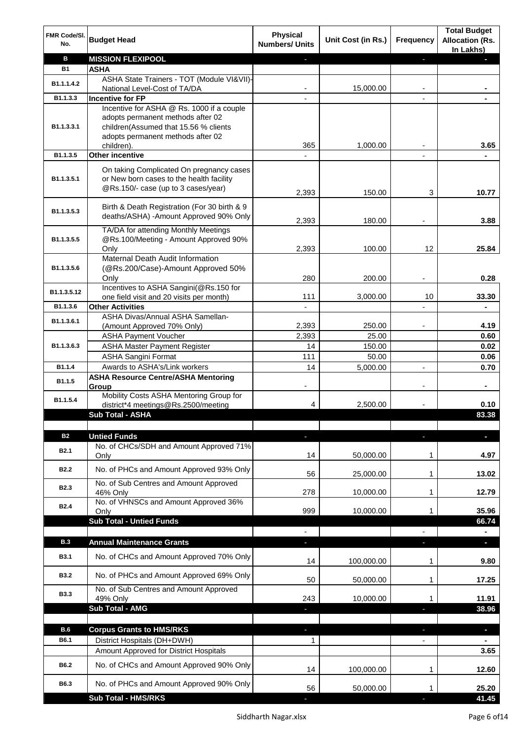| FMR Code/SI.<br>No.     | <b>Budget Head</b>                                                         | <b>Physical</b><br><b>Numbers/ Units</b> | Unit Cost (in Rs.) | <b>Frequency</b> | <b>Total Budget</b><br><b>Allocation (Rs.</b><br>In Lakhs) |
|-------------------------|----------------------------------------------------------------------------|------------------------------------------|--------------------|------------------|------------------------------------------------------------|
| в                       | <b>MISSION FLEXIPOOL</b>                                                   |                                          |                    | ı                |                                                            |
| <b>B1</b>               | <b>ASHA</b>                                                                |                                          |                    |                  |                                                            |
| B1.1.1.4.2              | ASHA State Trainers - TOT (Module VI&VII)-                                 |                                          |                    |                  |                                                            |
|                         | National Level-Cost of TA/DA                                               |                                          | 15,000.00          |                  |                                                            |
| B1.1.3.3                | <b>Incentive for FP</b>                                                    |                                          |                    |                  |                                                            |
|                         | Incentive for ASHA @ Rs. 1000 if a couple                                  |                                          |                    |                  |                                                            |
| B1.1.3.3.1              | adopts permanent methods after 02<br>children(Assumed that 15.56 % clients |                                          |                    |                  |                                                            |
|                         | adopts permanent methods after 02                                          |                                          |                    |                  |                                                            |
|                         | children).                                                                 | 365                                      | 1,000.00           |                  | 3.65                                                       |
| B1.1.3.5                | <b>Other incentive</b>                                                     |                                          |                    |                  |                                                            |
|                         | On taking Complicated On pregnancy cases                                   |                                          |                    |                  |                                                            |
| B <sub>1.1</sub> .3.5.1 | or New born cases to the health facility                                   |                                          |                    |                  |                                                            |
|                         | @Rs.150/- case (up to 3 cases/year)                                        |                                          |                    |                  |                                                            |
|                         |                                                                            | 2,393                                    | 150.00             | 3                | 10.77                                                      |
| B1.1.3.5.3              | Birth & Death Registration (For 30 birth & 9                               |                                          |                    |                  |                                                            |
|                         | deaths/ASHA) - Amount Approved 90% Only                                    | 2,393                                    | 180.00             |                  | 3.88                                                       |
|                         | TA/DA for attending Monthly Meetings                                       |                                          |                    |                  |                                                            |
| B1.1.3.5.5              | @Rs.100/Meeting - Amount Approved 90%                                      |                                          |                    |                  |                                                            |
|                         | Only                                                                       | 2,393                                    | 100.00             | 12               | 25.84                                                      |
|                         | Maternal Death Audit Information                                           |                                          |                    |                  |                                                            |
| B1.1.3.5.6              | (@Rs.200/Case)-Amount Approved 50%                                         |                                          |                    |                  |                                                            |
|                         | Only                                                                       | 280                                      | 200.00             | $\blacksquare$   | 0.28                                                       |
| B1.1.3.5.12             | Incentives to ASHA Sangini(@Rs.150 for                                     | 111                                      | 3,000.00           | $10$             | 33.30                                                      |
| B1.1.3.6                | one field visit and 20 visits per month)<br><b>Other Activities</b>        |                                          |                    |                  | $\blacksquare$                                             |
|                         | ASHA Divas/Annual ASHA Samellan-                                           |                                          |                    |                  |                                                            |
| B1.1.3.6.1              | (Amount Approved 70% Only)                                                 | 2,393                                    | 250.00             |                  | 4.19                                                       |
|                         | <b>ASHA Payment Voucher</b>                                                | 2,393                                    | 25.00              |                  | 0.60                                                       |
| B <sub>1.1</sub> .3.6.3 | <b>ASHA Master Payment Register</b>                                        | 14                                       | 150.00             |                  | 0.02                                                       |
|                         | <b>ASHA Sangini Format</b>                                                 | 111                                      | 50.00              |                  | 0.06                                                       |
| B1.1.4                  | Awards to ASHA's/Link workers                                              | 14                                       | 5,000.00           |                  | 0.70                                                       |
| B1.1.5                  | <b>ASHA Resource Centre/ASHA Mentoring</b>                                 |                                          |                    |                  |                                                            |
|                         | Group                                                                      | $\overline{\phantom{a}}$                 |                    |                  | $\blacksquare$                                             |
| B1.1.5.4                | Mobility Costs ASHA Mentoring Group for                                    |                                          |                    |                  |                                                            |
|                         | district*4 meetings@Rs.2500/meeting<br><b>Sub Total - ASHA</b>             | 4                                        | 2,500.00           |                  | 0.10<br>83.38                                              |
|                         |                                                                            |                                          |                    |                  |                                                            |
| <b>B2</b>               | <b>Untied Funds</b>                                                        | E.                                       |                    | н                | ı                                                          |
|                         | No. of CHCs/SDH and Amount Approved 71%                                    |                                          |                    |                  |                                                            |
| <b>B2.1</b>             | Only                                                                       | 14                                       | 50,000.00          | 1                | 4.97                                                       |
| <b>B2.2</b>             | No. of PHCs and Amount Approved 93% Only                                   |                                          |                    |                  |                                                            |
|                         |                                                                            | 56                                       | 25,000.00          | 1                | 13.02                                                      |
| <b>B2.3</b>             | No. of Sub Centres and Amount Approved                                     |                                          |                    |                  |                                                            |
|                         | 46% Only                                                                   | 278                                      | 10,000.00          | 1                | 12.79                                                      |
| <b>B2.4</b>             | No. of VHNSCs and Amount Approved 36%<br>Only                              | 999                                      | 10,000.00          | 1                | 35.96                                                      |
|                         | <b>Sub Total - Untied Funds</b>                                            |                                          |                    |                  | 66.74                                                      |
|                         |                                                                            |                                          |                    |                  |                                                            |
| <b>B.3</b>              | <b>Annual Maintenance Grants</b>                                           |                                          |                    |                  | $\sim$                                                     |
|                         |                                                                            |                                          |                    |                  |                                                            |
| <b>B3.1</b>             | No. of CHCs and Amount Approved 70% Only                                   | 14                                       | 100,000.00         | 1                | 9.80                                                       |
| <b>B3.2</b>             | No. of PHCs and Amount Approved 69% Only                                   |                                          |                    |                  |                                                            |
|                         |                                                                            | 50                                       | 50,000.00          | 1                | 17.25                                                      |
| <b>B3.3</b>             | No. of Sub Centres and Amount Approved                                     |                                          |                    |                  |                                                            |
|                         | 49% Only                                                                   | 243                                      | 10,000.00          | 1                | 11.91                                                      |
|                         | Sub Total - AMG                                                            | J,                                       |                    | ı                | 38.96                                                      |
| <b>B.6</b>              | <b>Corpus Grants to HMS/RKS</b>                                            |                                          |                    | н                | ÷,                                                         |
| B6.1                    | District Hospitals (DH+DWH)                                                |                                          |                    |                  |                                                            |
|                         | Amount Approved for District Hospitals                                     | 1                                        |                    |                  | 3.65                                                       |
|                         |                                                                            |                                          |                    |                  |                                                            |
| B6.2                    | No. of CHCs and Amount Approved 90% Only                                   | 14                                       | 100,000.00         | 1                | 12.60                                                      |
|                         |                                                                            |                                          |                    |                  |                                                            |
| B6.3                    | No. of PHCs and Amount Approved 90% Only                                   | 56                                       | 50,000.00          | 1                | 25.20                                                      |
|                         | <b>Sub Total - HMS/RKS</b>                                                 |                                          |                    |                  | 41.45                                                      |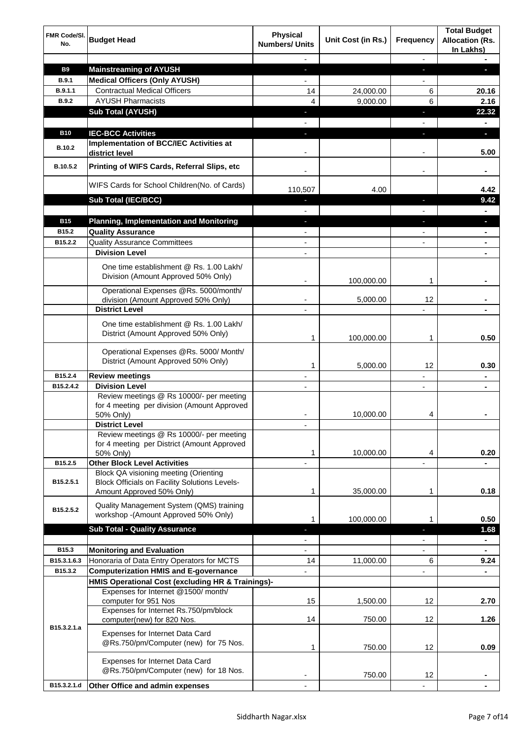| FMR Code/SI.<br>No. | <b>Budget Head</b>                                                                                                         | <b>Physical</b><br><b>Numbers/ Units</b> | Unit Cost (in Rs.) | Frequency                | <b>Total Budget</b><br><b>Allocation (Rs.</b><br>In Lakhs) |
|---------------------|----------------------------------------------------------------------------------------------------------------------------|------------------------------------------|--------------------|--------------------------|------------------------------------------------------------|
|                     |                                                                                                                            |                                          |                    | $\overline{\phantom{a}}$ |                                                            |
| <b>B9</b>           | <b>Mainstreaming of AYUSH</b>                                                                                              | ÷.                                       |                    | J,                       | п                                                          |
| <b>B.9.1</b>        | <b>Medical Officers (Only AYUSH)</b>                                                                                       | $\overline{a}$                           |                    | $\overline{a}$           |                                                            |
| B.9.1.1             | <b>Contractual Medical Officers</b>                                                                                        | 14                                       | 24,000.00          | 6                        | 20.16                                                      |
| <b>B.9.2</b>        | <b>AYUSH Pharmacists</b>                                                                                                   | $\overline{\mathbf{4}}$                  | 9,000.00           | 6                        | 2.16                                                       |
|                     | <b>Sub Total (AYUSH)</b>                                                                                                   | $\blacksquare$                           |                    | J                        | 22.32                                                      |
|                     |                                                                                                                            |                                          |                    | $\frac{1}{2}$            | $\blacksquare$                                             |
| <b>B10</b>          | <b>IEC-BCC Activities</b>                                                                                                  |                                          |                    |                          | $\blacksquare$                                             |
| <b>B.10.2</b>       | Implementation of BCC/IEC Activities at<br>district level                                                                  |                                          |                    |                          | 5.00                                                       |
| B.10.5.2            | Printing of WIFS Cards, Referral Slips, etc                                                                                |                                          |                    |                          | $\blacksquare$                                             |
|                     | WIFS Cards for School Children(No. of Cards)                                                                               | 110,507                                  | 4.00               |                          | 4.42                                                       |
|                     | <b>Sub Total (IEC/BCC)</b>                                                                                                 |                                          |                    | ı                        | 9.42                                                       |
|                     |                                                                                                                            |                                          |                    |                          |                                                            |
| <b>B15</b>          | <b>Planning, Implementation and Monitoring</b>                                                                             | L.                                       |                    |                          | p                                                          |
| B15.2               | <b>Quality Assurance</b>                                                                                                   |                                          |                    |                          |                                                            |
| B15.2.2             | <b>Quality Assurance Committees</b>                                                                                        |                                          |                    |                          |                                                            |
|                     | <b>Division Level</b>                                                                                                      |                                          |                    |                          |                                                            |
|                     | One time establishment @ Rs. 1.00 Lakh/<br>Division (Amount Approved 50% Only)                                             |                                          | 100,000.00         | 1                        |                                                            |
|                     | Operational Expenses @Rs. 5000/month/                                                                                      |                                          |                    |                          |                                                            |
|                     | division (Amount Approved 50% Only)                                                                                        |                                          | 5,000.00           | 12                       |                                                            |
|                     | <b>District Level</b>                                                                                                      |                                          |                    |                          |                                                            |
|                     | One time establishment @ Rs. 1.00 Lakh/                                                                                    |                                          |                    |                          |                                                            |
|                     | District (Amount Approved 50% Only)                                                                                        | 1                                        | 100,000.00         | 1                        | 0.50                                                       |
|                     | Operational Expenses @Rs. 5000/ Month/<br>District (Amount Approved 50% Only)                                              | 1                                        | 5,000.00           | 12                       | 0.30                                                       |
| B15.2.4             | <b>Review meetings</b>                                                                                                     |                                          |                    | $\overline{a}$           |                                                            |
| B15.2.4.2           | <b>Division Level</b>                                                                                                      |                                          |                    | $\overline{\phantom{a}}$ |                                                            |
|                     | Review meetings @ Rs 10000/- per meeting<br>for 4 meeting per division (Amount Approved                                    |                                          |                    |                          |                                                            |
|                     | 50% Only)<br><b>District Level</b>                                                                                         |                                          | 10,000.00          | 4                        |                                                            |
|                     | Review meetings @ Rs 10000/- per meeting<br>for 4 meeting per District (Amount Approved<br>50% Only)                       | 1                                        | 10,000.00          | 4                        | 0.20                                                       |
| B15.2.5             | <b>Other Block Level Activities</b>                                                                                        |                                          |                    |                          |                                                            |
| B15.2.5.1           | Block QA visioning meeting (Orienting<br><b>Block Officials on Facility Solutions Levels-</b><br>Amount Approved 50% Only) | 1                                        | 35,000.00          | 1                        | 0.18                                                       |
| B15.2.5.2           | Quality Management System (QMS) training<br>workshop - (Amount Approved 50% Only)                                          | 1                                        | 100,000.00         | 1                        | 0.50                                                       |
|                     | <b>Sub Total - Quality Assurance</b>                                                                                       |                                          |                    |                          | 1.68                                                       |
|                     |                                                                                                                            |                                          |                    |                          |                                                            |
| B15.3               | <b>Monitoring and Evaluation</b>                                                                                           |                                          |                    |                          | $\blacksquare$                                             |
| B15.3.1.6.3         | Honoraria of Data Entry Operators for MCTS                                                                                 | 14                                       | 11,000.00          | 6                        | 9.24                                                       |
| B15.3.2             | <b>Computerization HMIS and E-governance</b>                                                                               |                                          |                    | $\overline{\phantom{0}}$ |                                                            |
|                     | HMIS Operational Cost (excluding HR & Trainings)-                                                                          |                                          |                    |                          |                                                            |
|                     | Expenses for Internet @1500/month/                                                                                         |                                          |                    |                          |                                                            |
|                     | computer for 951 Nos                                                                                                       | 15                                       | 1,500.00           | 12                       | 2.70                                                       |
|                     | Expenses for Internet Rs.750/pm/block                                                                                      |                                          |                    |                          |                                                            |
|                     | computer(new) for 820 Nos.                                                                                                 | 14                                       | 750.00             | 12                       | 1.26                                                       |
| B15.3.2.1.a         | Expenses for Internet Data Card<br>@Rs.750/pm/Computer (new) for 75 Nos.                                                   | 1                                        | 750.00             | 12                       | 0.09                                                       |
|                     | Expenses for Internet Data Card<br>@Rs.750/pm/Computer (new) for 18 Nos.                                                   |                                          | 750.00             | 12                       |                                                            |
| B15.3.2.1.d         | Other Office and admin expenses                                                                                            |                                          |                    |                          |                                                            |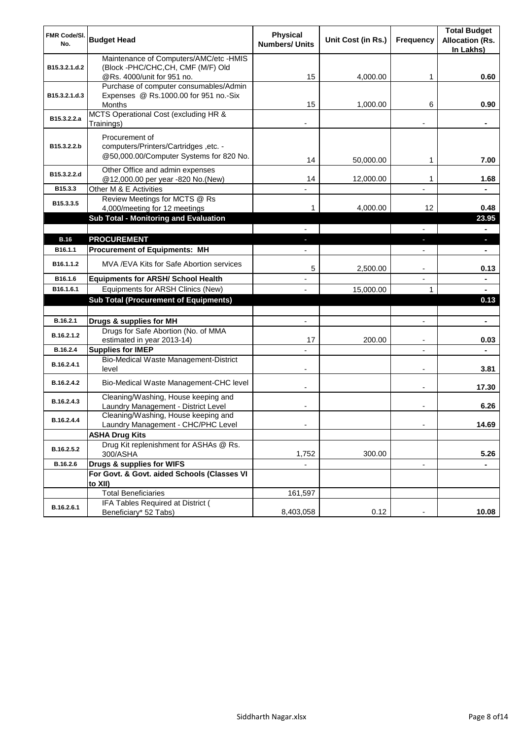| FMR Code/SI.          |                                                                            | <b>Physical</b>          |                    |                          | <b>Total Budget</b>                 |
|-----------------------|----------------------------------------------------------------------------|--------------------------|--------------------|--------------------------|-------------------------------------|
| No.                   | <b>Budget Head</b>                                                         | <b>Numbers/ Units</b>    | Unit Cost (in Rs.) | <b>Frequency</b>         | <b>Allocation (Rs.</b><br>In Lakhs) |
|                       | Maintenance of Computers/AMC/etc -HMIS                                     |                          |                    |                          |                                     |
| B15.3.2.1.d.2         | (Block -PHC/CHC,CH, CMF (M/F) Old<br>@Rs. 4000/unit for 951 no.            | 15                       | 4,000.00           | 1                        | 0.60                                |
|                       | Purchase of computer consumables/Admin                                     |                          |                    |                          |                                     |
| B15.3.2.1.d.3         | Expenses @ Rs.1000.00 for 951 no.-Six                                      |                          |                    |                          |                                     |
|                       | <b>Months</b>                                                              | 15                       | 1,000.00           | 6                        | 0.90                                |
| B15.3.2.2.a           | MCTS Operational Cost (excluding HR &<br>Trainings)                        |                          |                    |                          |                                     |
|                       | Procurement of                                                             |                          |                    |                          |                                     |
| B15.3.2.2.b           | computers/Printers/Cartridges, etc. -                                      |                          |                    |                          |                                     |
|                       | @50,000.00/Computer Systems for 820 No.                                    | 14                       | 50,000.00          | 1                        | 7.00                                |
| B15.3.2.2.d           | Other Office and admin expenses                                            |                          |                    |                          |                                     |
|                       | @12,000.00 per year -820 No.(New)                                          | 14                       | 12,000.00          | 1                        | 1.68                                |
| B15.3.3               | Other M & E Activities<br>Review Meetings for MCTS @ Rs                    |                          |                    | $\blacksquare$           | $\blacksquare$                      |
| B <sub>15.3.3.5</sub> | 4,000/meeting for 12 meetings                                              |                          | 4,000.00           | 12                       | 0.48                                |
|                       | <b>Sub Total - Monitoring and Evaluation</b>                               |                          |                    |                          | 23.95                               |
|                       |                                                                            |                          |                    |                          |                                     |
| <b>B.16</b>           | <b>PROCUREMENT</b>                                                         |                          |                    | ı                        | ы                                   |
| B16.1.1               | <b>Procurement of Equipments: MH</b>                                       |                          |                    |                          |                                     |
| B16.1.1.2             | MVA / EVA Kits for Safe Abortion services                                  | 5                        | 2,500.00           | $\overline{\phantom{a}}$ | 0.13                                |
| B16.1.6               | <b>Equipments for ARSH/ School Health</b>                                  |                          |                    | L,                       | ٠                                   |
| B16.1.6.1             | Equipments for ARSH Clinics (New)                                          |                          | 15,000.00          | $\mathbf{1}$             |                                     |
|                       | <b>Sub Total (Procurement of Equipments)</b>                               |                          |                    |                          | 0.13                                |
|                       |                                                                            |                          |                    |                          |                                     |
| B.16.2.1              | Drugs & supplies for MH                                                    | $\overline{\phantom{a}}$ |                    | $\overline{\phantom{a}}$ | $\blacksquare$                      |
| B.16.2.1.2            | Drugs for Safe Abortion (No. of MMA<br>estimated in year 2013-14)          | 17                       | 200.00             | $\blacksquare$           | 0.03                                |
| B.16.2.4              | <b>Supplies for IMEP</b>                                                   |                          |                    | ÷,                       |                                     |
|                       | Bio-Medical Waste Management-District                                      |                          |                    |                          |                                     |
| B.16.2.4.1            | level                                                                      | $\overline{a}$           |                    | $\overline{\phantom{a}}$ | 3.81                                |
| B.16.2.4.2            | Bio-Medical Waste Management-CHC level                                     |                          |                    | $\blacksquare$           | 17.30                               |
| B.16.2.4.3            | Cleaning/Washing, House keeping and<br>Laundry Management - District Level |                          |                    |                          | 6.26                                |
| B.16.2.4.4            | Cleaning/Washing, House keeping and                                        |                          |                    |                          |                                     |
|                       | Laundry Management - CHC/PHC Level                                         |                          |                    |                          | 14.69                               |
|                       | <b>ASHA Drug Kits</b>                                                      |                          |                    |                          |                                     |
| B.16.2.5.2            | Drug Kit replenishment for ASHAs @ Rs.<br>300/ASHA                         | 1,752                    | 300.00             |                          | 5.26                                |
| B.16.2.6              | Drugs & supplies for WIFS                                                  |                          |                    |                          |                                     |
|                       | For Govt. & Govt. aided Schools (Classes VI                                |                          |                    |                          |                                     |
|                       | to XII)<br><b>Total Beneficiaries</b>                                      |                          |                    |                          |                                     |
|                       | IFA Tables Required at District (                                          | 161,597                  |                    |                          |                                     |
| B.16.2.6.1            | Beneficiary* 52 Tabs)                                                      | 8,403,058                | 0.12               |                          | 10.08                               |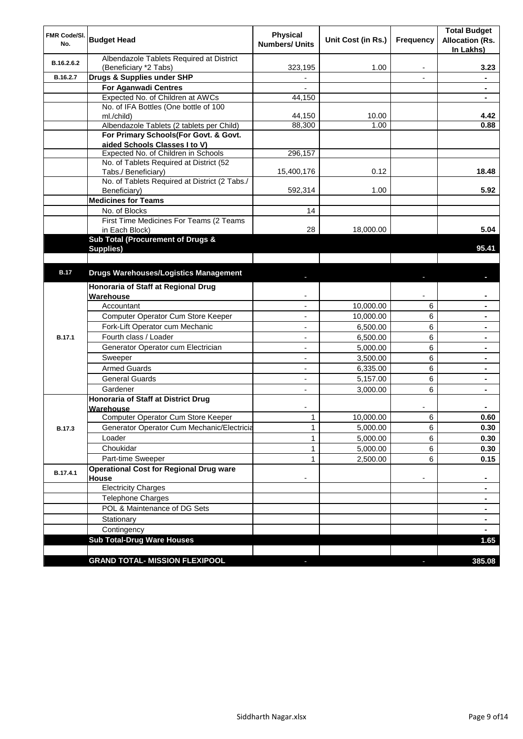| <b>FMR Code/SI.</b><br>No. | <b>Budget Head</b>                                                   | <b>Physical</b><br><b>Numbers/ Units</b> | Unit Cost (in Rs.) | <b>Frequency</b> | <b>Total Budget</b><br><b>Allocation (Rs.</b><br>In Lakhs) |
|----------------------------|----------------------------------------------------------------------|------------------------------------------|--------------------|------------------|------------------------------------------------------------|
| B.16.2.6.2                 | Albendazole Tablets Required at District<br>(Beneficiary *2 Tabs)    | 323,195                                  | 1.00               | ٠                | 3.23                                                       |
| B.16.2.7                   | Drugs & Supplies under SHP                                           | $\overline{\phantom{a}}$                 |                    | $\blacksquare$   | $\blacksquare$                                             |
|                            | <b>For Aganwadi Centres</b>                                          |                                          |                    |                  | $\blacksquare$                                             |
|                            | Expected No. of Children at AWCs                                     | 44,150                                   |                    |                  |                                                            |
|                            | No. of IFA Bottles (One bottle of 100                                |                                          |                    |                  |                                                            |
|                            | ml./child)                                                           | 44,150                                   | 10.00              |                  | 4.42                                                       |
|                            | Albendazole Tablets (2 tablets per Child)                            | 88,300                                   | 1.00               |                  | 0.88                                                       |
|                            | For Primary Schools(For Govt. & Govt.                                |                                          |                    |                  |                                                            |
|                            | aided Schools Classes I to V)                                        |                                          |                    |                  |                                                            |
|                            | Expected No. of Children in Schools                                  | 296,157                                  |                    |                  |                                                            |
|                            | No. of Tablets Required at District (52                              |                                          | 0.12               |                  | 18.48                                                      |
|                            | Tabs./ Beneficiary)<br>No. of Tablets Required at District (2 Tabs./ | 15,400,176                               |                    |                  |                                                            |
|                            | Beneficiary)                                                         | 592,314                                  | 1.00               |                  | 5.92                                                       |
|                            | <b>Medicines for Teams</b>                                           |                                          |                    |                  |                                                            |
|                            | No. of Blocks                                                        | 14                                       |                    |                  |                                                            |
|                            | First Time Medicines For Teams (2 Teams                              |                                          |                    |                  |                                                            |
|                            | in Each Block)                                                       | 28                                       | 18,000.00          |                  | 5.04                                                       |
|                            | Sub Total (Procurement of Drugs &                                    |                                          |                    |                  |                                                            |
|                            | Supplies)                                                            |                                          |                    |                  | 95.41                                                      |
|                            |                                                                      |                                          |                    |                  |                                                            |
| <b>B.17</b>                | <b>Drugs Warehouses/Logistics Management</b>                         |                                          |                    |                  |                                                            |
|                            | Honoraria of Staff at Regional Drug                                  |                                          |                    |                  |                                                            |
|                            | Warehouse                                                            |                                          |                    |                  |                                                            |
|                            | Accountant                                                           |                                          | 10,000.00          | 6                |                                                            |
|                            | Computer Operator Cum Store Keeper                                   |                                          | 10,000.00          | 6                |                                                            |
|                            | Fork-Lift Operator cum Mechanic                                      |                                          | 6,500.00           | 6                |                                                            |
| <b>B.17.1</b>              | Fourth class / Loader                                                |                                          | 6,500.00           | 6                |                                                            |
|                            | Generator Operator cum Electrician                                   |                                          | 5,000.00           | 6                |                                                            |
|                            | Sweeper                                                              |                                          | 3,500.00           | 6                |                                                            |
|                            | <b>Armed Guards</b>                                                  |                                          | 6,335.00           | 6                |                                                            |
|                            | <b>General Guards</b>                                                | ٠                                        | 5,157.00           | 6                |                                                            |
|                            | Gardener                                                             | $\overline{a}$                           | 3,000.00           | 6                |                                                            |
|                            | Honoraria of Staff at District Drug                                  |                                          |                    |                  |                                                            |
|                            | Warehouse                                                            |                                          |                    |                  |                                                            |
|                            | Computer Operator Cum Store Keeper                                   | $\mathbf 1$                              | 10,000.00          | 6                | 0.60                                                       |
| <b>B.17.3</b>              | Generator Operator Cum Mechanic/Electricia                           | 1                                        | 5,000.00           | 6                | 0.30                                                       |
|                            | Loader                                                               | $\mathbf{1}$                             | 5,000.00           | 6                | 0.30                                                       |
|                            | Choukidar                                                            | $\mathbf{1}$                             | 5,000.00           | 6                | 0.30                                                       |
|                            | Part-time Sweeper                                                    | $\mathbf{1}$                             | 2,500.00           | 6                | 0.15                                                       |
|                            | <b>Operational Cost for Regional Drug ware</b>                       |                                          |                    |                  |                                                            |
| B.17.4.1                   | House                                                                |                                          |                    | -                | ٠                                                          |
|                            | Electricity Charges                                                  |                                          |                    |                  | ٠                                                          |
|                            | Telephone Charges                                                    |                                          |                    |                  |                                                            |
|                            | POL & Maintenance of DG Sets                                         |                                          |                    |                  | $\blacksquare$                                             |
|                            | Stationary                                                           |                                          |                    |                  | $\blacksquare$                                             |
|                            | Contingency                                                          |                                          |                    |                  |                                                            |
|                            | <b>Sub Total-Drug Ware Houses</b>                                    |                                          |                    |                  | 1.65                                                       |
|                            |                                                                      |                                          |                    |                  |                                                            |
|                            | <b>GRAND TOTAL- MISSION FLEXIPOOL</b>                                |                                          |                    |                  | 385.08                                                     |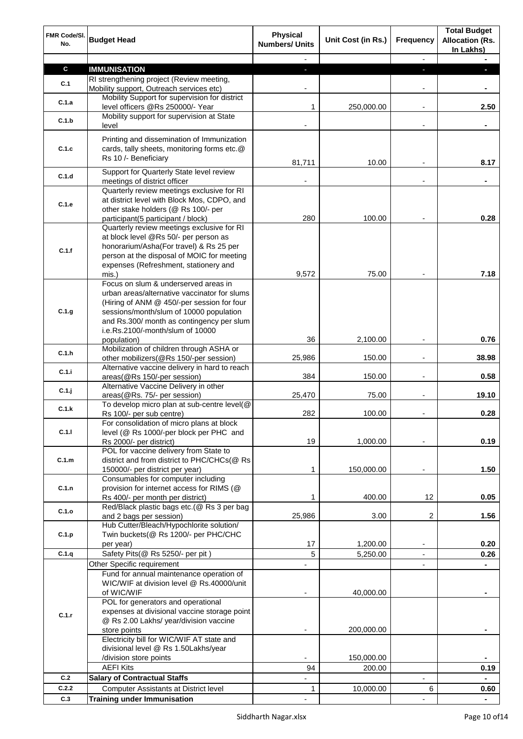| FMR Code/SI.<br>No. | <b>Budget Head</b>                                                                        | <b>Physical</b><br><b>Numbers/ Units</b> | Unit Cost (in Rs.) | <b>Frequency</b>         | <b>Total Budget</b><br><b>Allocation (Rs.</b><br>In Lakhs) |
|---------------------|-------------------------------------------------------------------------------------------|------------------------------------------|--------------------|--------------------------|------------------------------------------------------------|
|                     |                                                                                           |                                          |                    | $\overline{\phantom{a}}$ |                                                            |
| $\mathbf c$         | <b>IMMUNISATION</b>                                                                       | E.                                       |                    | ٠                        |                                                            |
| C.1                 | RI strengthening project (Review meeting,                                                 |                                          |                    |                          |                                                            |
|                     | Mobility support, Outreach services etc)<br>Mobility Support for supervision for district |                                          |                    | $\blacksquare$           |                                                            |
| C.1.a               | level officers @Rs 250000/- Year                                                          | 1                                        | 250,000.00         | $\blacksquare$           | 2.50                                                       |
| C.1.b               | Mobility support for supervision at State<br>level                                        |                                          |                    |                          |                                                            |
|                     |                                                                                           |                                          |                    |                          |                                                            |
| C.1.c               | Printing and dissemination of Immunization<br>cards, tally sheets, monitoring forms etc.@ |                                          |                    |                          |                                                            |
|                     | Rs 10 /- Beneficiary                                                                      | 81,711                                   | 10.00              |                          | 8.17                                                       |
|                     | Support for Quarterly State level review                                                  |                                          |                    |                          |                                                            |
| C.1.d               | meetings of district officer                                                              |                                          |                    |                          |                                                            |
|                     | Quarterly review meetings exclusive for RI                                                |                                          |                    |                          |                                                            |
| C.1.e               | at district level with Block Mos, CDPO, and                                               |                                          |                    |                          |                                                            |
|                     | other stake holders (@ Rs 100/- per<br>participant(5 participant / block)                 | 280                                      | 100.00             |                          | 0.28                                                       |
|                     | Quarterly review meetings exclusive for RI                                                |                                          |                    |                          |                                                            |
|                     | at block level @Rs 50/- per person as                                                     |                                          |                    |                          |                                                            |
| C.1.f               | honorarium/Asha(For travel) & Rs 25 per                                                   |                                          |                    |                          |                                                            |
|                     | person at the disposal of MOIC for meeting                                                |                                          |                    |                          |                                                            |
|                     | expenses (Refreshment, stationery and                                                     |                                          |                    |                          |                                                            |
|                     | mis.)                                                                                     | 9,572                                    | 75.00              |                          | 7.18                                                       |
|                     | Focus on slum & underserved areas in<br>urban areas/alternative vaccinator for slums      |                                          |                    |                          |                                                            |
|                     | (Hiring of ANM @ 450/-per session for four                                                |                                          |                    |                          |                                                            |
| C.1.g               | sessions/month/slum of 10000 population                                                   |                                          |                    |                          |                                                            |
|                     | and Rs.300/ month as contingency per slum                                                 |                                          |                    |                          |                                                            |
|                     | i.e.Rs.2100/-month/slum of 10000                                                          |                                          |                    |                          |                                                            |
|                     | population)                                                                               | 36                                       | 2,100.00           |                          | 0.76                                                       |
| C.1.h               | Mobilization of children through ASHA or                                                  |                                          |                    |                          |                                                            |
|                     | other mobilizers(@Rs 150/-per session)                                                    | 25,986                                   | 150.00             |                          | 38.98                                                      |
| C.1.i               | Alternative vaccine delivery in hard to reach<br>areas(@Rs 150/-per session)              | 384                                      | 150.00             |                          | 0.58                                                       |
|                     | Alternative Vaccine Delivery in other                                                     |                                          |                    |                          |                                                            |
| $C.1$ .j            | areas(@Rs. 75/- per session)                                                              | 25,470                                   | 75.00              |                          | 19.10                                                      |
| C.1.k               | To develop micro plan at sub-centre level(@                                               |                                          |                    |                          |                                                            |
|                     | Rs 100/- per sub centre)                                                                  | 282                                      | 100.00             |                          | 0.28                                                       |
| C.1.1               | For consolidation of micro plans at block                                                 |                                          |                    |                          |                                                            |
|                     | level (@ Rs 1000/-per block per PHC and<br>Rs 2000/- per district)                        | 19                                       | 1,000.00           |                          | 0.19                                                       |
|                     | POL for vaccine delivery from State to                                                    |                                          |                    |                          |                                                            |
| C.1.m               | district and from district to PHC/CHCs(@ Rs                                               |                                          |                    |                          |                                                            |
|                     | 150000/- per district per year)                                                           | 1                                        | 150,000.00         | $\overline{\phantom{a}}$ | 1.50                                                       |
|                     | Consumables for computer including                                                        |                                          |                    |                          |                                                            |
| C.1.n               | provision for internet access for RIMS (@                                                 |                                          |                    |                          |                                                            |
|                     | Rs 400/- per month per district)                                                          | 1                                        | 400.00             | 12                       | 0.05                                                       |
| C.1.o               | Red/Black plastic bags etc.(@ Rs 3 per bag<br>and 2 bags per session)                     | 25,986                                   | 3.00               | 2                        | 1.56                                                       |
|                     | Hub Cutter/Bleach/Hypochlorite solution/                                                  |                                          |                    |                          |                                                            |
| C.1.p               | Twin buckets(@ Rs 1200/- per PHC/CHC                                                      |                                          |                    |                          |                                                            |
|                     | per year)                                                                                 | 17                                       | 1,200.00           | $\overline{\phantom{a}}$ | 0.20                                                       |
| C.1.q               | Safety Pits(@ Rs 5250/- per pit)                                                          | 5                                        | 5,250.00           | $\overline{\phantom{a}}$ | 0.26                                                       |
|                     | Other Specific requirement                                                                |                                          |                    | $\blacksquare$           |                                                            |
|                     | Fund for annual maintenance operation of                                                  |                                          |                    |                          |                                                            |
|                     | WIC/WIF at division level @ Rs.40000/unit                                                 |                                          |                    |                          |                                                            |
|                     | of WIC/WIF<br>POL for generators and operational                                          |                                          | 40,000.00          |                          |                                                            |
|                     | expenses at divisional vaccine storage point                                              |                                          |                    |                          |                                                            |
| C.1.r               | @ Rs 2.00 Lakhs/ year/division vaccine                                                    |                                          |                    |                          |                                                            |
|                     | store points                                                                              |                                          | 200,000.00         |                          |                                                            |
|                     | Electricity bill for WIC/WIF AT state and                                                 |                                          |                    |                          |                                                            |
|                     | divisional level @ Rs 1.50Lakhs/year                                                      |                                          |                    |                          |                                                            |
|                     | /division store points                                                                    |                                          | 150,000.00         |                          |                                                            |
|                     | <b>AEFI Kits</b>                                                                          | 94                                       | 200.00             |                          | 0.19                                                       |
| C.2                 | <b>Salary of Contractual Staffs</b>                                                       |                                          |                    |                          |                                                            |
| C.2.2               | <b>Computer Assistants at District level</b>                                              | 1                                        | 10,000.00          | 6                        | 0.60                                                       |
| C.3                 | <b>Training under Immunisation</b>                                                        |                                          |                    |                          |                                                            |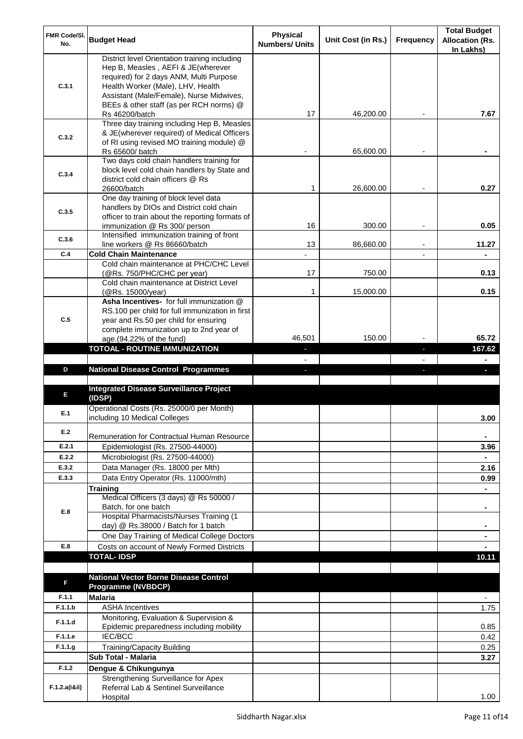| FMR Code/SI. | <b>Budget Head</b>                                                                          | <b>Physical</b>       | Unit Cost (in Rs.) | Frequency                | <b>Total Budget</b><br><b>Allocation (Rs.</b> |
|--------------|---------------------------------------------------------------------------------------------|-----------------------|--------------------|--------------------------|-----------------------------------------------|
| No.          |                                                                                             | <b>Numbers/ Units</b> |                    |                          | In Lakhs)                                     |
|              | District level Orientation training including                                               |                       |                    |                          |                                               |
|              | Hep B, Measles, AEFI & JE(wherever                                                          |                       |                    |                          |                                               |
| C.3.1        | required) for 2 days ANM, Multi Purpose<br>Health Worker (Male), LHV, Health                |                       |                    |                          |                                               |
|              | Assistant (Male/Female), Nurse Midwives,                                                    |                       |                    |                          |                                               |
|              | BEEs & other staff (as per RCH norms) @                                                     |                       |                    |                          |                                               |
|              | Rs 46200/batch                                                                              | 17                    | 46,200.00          |                          | 7.67                                          |
|              | Three day training including Hep B, Measles                                                 |                       |                    |                          |                                               |
| C.3.2        | & JE(wherever required) of Medical Officers                                                 |                       |                    |                          |                                               |
|              | of RI using revised MO training module) @<br>Rs 65600/ batch                                |                       | 65,600.00          |                          |                                               |
|              | Two days cold chain handlers training for                                                   |                       |                    |                          |                                               |
| C.3.4        | block level cold chain handlers by State and                                                |                       |                    |                          |                                               |
|              | district cold chain officers @ Rs                                                           |                       |                    |                          |                                               |
|              | 26600/batch<br>One day training of block level data                                         | 1                     | 26,600.00          |                          | 0.27                                          |
|              | handlers by DIOs and District cold chain                                                    |                       |                    |                          |                                               |
| C.3.5        | officer to train about the reporting formats of                                             |                       |                    |                          |                                               |
|              | immunization @ Rs 300/ person                                                               | 16                    | 300.00             |                          | 0.05                                          |
| C.3.6        | Intensified immunization training of front                                                  |                       |                    |                          |                                               |
| C.4          | line workers @ Rs 86660/batch<br><b>Cold Chain Maintenance</b>                              | 13                    | 86,660.00          | $\overline{\phantom{a}}$ | 11.27                                         |
|              | Cold chain maintenance at PHC/CHC Level                                                     |                       |                    |                          |                                               |
|              | (@Rs. 750/PHC/CHC per year)                                                                 | 17                    | 750.00             |                          | 0.13                                          |
|              | Cold chain maintenance at District Level                                                    |                       |                    |                          |                                               |
|              | (@Rs. 15000/year)                                                                           | 1                     | 15,000.00          |                          | 0.15                                          |
|              | Asha Incentives- for full immunization @<br>RS.100 per child for full immunization in first |                       |                    |                          |                                               |
| C.5          | year and Rs.50 per child for ensuring                                                       |                       |                    |                          |                                               |
|              | complete immunization up to 2nd year of                                                     |                       |                    |                          |                                               |
|              | age.(94.22% of the fund)                                                                    | 46,501                | 150.00             |                          | 65.72                                         |
|              | <b>TOTOAL - ROUTINE IMMUNIZATION</b>                                                        | ٠                     |                    | ٠                        | 167.62                                        |
|              |                                                                                             | $\sim$                |                    | J,                       | $\blacksquare$<br>$\blacksquare$              |
|              |                                                                                             |                       |                    |                          |                                               |
| D            | <b>National Disease Control Programmes</b>                                                  |                       |                    |                          |                                               |
|              | <b>Integrated Disease Surveillance Project</b>                                              |                       |                    |                          |                                               |
| E            | (IDSP)                                                                                      |                       |                    |                          |                                               |
| E.1          | Operational Costs (Rs. 25000/0 per Month)                                                   |                       |                    |                          |                                               |
|              | including 10 Medical Colleges                                                               |                       |                    |                          | 3.00                                          |
| E.2          | Remuneration for Contractual Human Resource                                                 |                       |                    |                          |                                               |
| E.2.1        | Epidemiologist (Rs. 27500-44000)                                                            |                       |                    |                          | 3.96                                          |
| E.2.2        | Microbiologist (Rs. 27500-44000)                                                            |                       |                    |                          |                                               |
| E.3.2        | Data Manager (Rs. 18000 per Mth)                                                            |                       |                    |                          | 2.16                                          |
| E.3.3        | Data Entry Operator (Rs. 11000/mth)                                                         |                       |                    |                          | 0.99                                          |
|              | <b>Training</b>                                                                             |                       |                    |                          |                                               |
|              | Medical Officers (3 days) @ Rs 50000 /<br>Batch, for one batch                              |                       |                    |                          | ۰                                             |
| E.8          | Hospital Pharmacists/Nurses Training (1                                                     |                       |                    |                          |                                               |
|              | day) @ Rs.38000 / Batch for 1 batch                                                         |                       |                    |                          |                                               |
|              | One Day Training of Medical College Doctors                                                 |                       |                    |                          |                                               |
| E.8          | Costs on account of Newly Formed Districts                                                  |                       |                    |                          |                                               |
|              | <b>TOTAL-IDSP</b>                                                                           |                       |                    |                          | 10.11                                         |
|              |                                                                                             |                       |                    |                          |                                               |
| F            | <b>National Vector Borne Disease Control</b><br><b>Programme (NVBDCP)</b>                   |                       |                    |                          |                                               |
| F.1.1        | <b>Malaria</b>                                                                              |                       |                    |                          |                                               |
| F.1.1.b      | <b>ASHA Incentives</b>                                                                      |                       |                    |                          | 1.75                                          |
| F.1.1.d      | Monitoring, Evaluation & Supervision &                                                      |                       |                    |                          |                                               |
|              | Epidemic preparedness including mobility                                                    |                       |                    |                          | 0.85                                          |
| F.1.1.e      | IEC/BCC                                                                                     |                       |                    |                          | 0.42                                          |
| F.1.1.g      | <b>Training/Capacity Building</b><br>Sub Total - Malaria                                    |                       |                    |                          | 0.25<br>3.27                                  |
| F.1.2        | Dengue & Chikungunya                                                                        |                       |                    |                          |                                               |
|              | Strengthening Surveillance for Apex                                                         |                       |                    |                          |                                               |
| F.1.2.a(iⅈ)  | Referral Lab & Sentinel Surveillance<br>Hospital                                            |                       |                    |                          | 1.00                                          |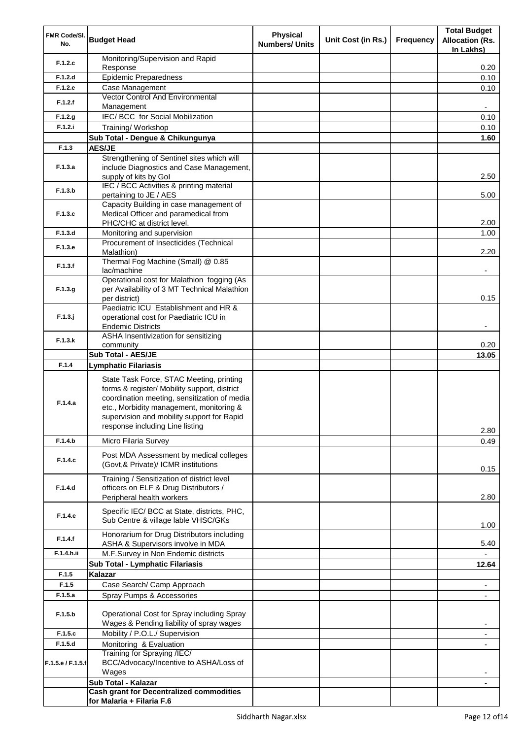| FMR Code/SI.      |                                                                                        | <b>Physical</b>       |                    |                  | <b>Total Budget</b>      |
|-------------------|----------------------------------------------------------------------------------------|-----------------------|--------------------|------------------|--------------------------|
| No.               | <b>Budget Head</b>                                                                     | <b>Numbers/ Units</b> | Unit Cost (in Rs.) | <b>Frequency</b> | <b>Allocation (Rs.</b>   |
|                   |                                                                                        |                       |                    |                  | In Lakhs)                |
| F.1.2.c           | Monitoring/Supervision and Rapid<br>Response                                           |                       |                    |                  | 0.20                     |
| F.1.2.d           | <b>Epidemic Preparedness</b>                                                           |                       |                    |                  | 0.10                     |
| F.1.2.e           | Case Management                                                                        |                       |                    |                  | 0.10                     |
|                   | Vector Control And Environmental                                                       |                       |                    |                  |                          |
| F.1.2.f           | Management                                                                             |                       |                    |                  | $\overline{\phantom{a}}$ |
| F.1.2.g           | IEC/ BCC for Social Mobilization                                                       |                       |                    |                  | 0.10                     |
| F.1.2.i           | Training/ Workshop                                                                     |                       |                    |                  | 0.10                     |
|                   | Sub Total - Dengue & Chikungunya                                                       |                       |                    |                  | 1.60                     |
| F.1.3             | <b>AES/JE</b>                                                                          |                       |                    |                  |                          |
| F.1.3.a           | Strengthening of Sentinel sites which will<br>include Diagnostics and Case Management, |                       |                    |                  |                          |
|                   | supply of kits by Gol                                                                  |                       |                    |                  | 2.50                     |
| F.1.3.b           | IEC / BCC Activities & printing material<br>pertaining to JE / AES                     |                       |                    |                  | 5.00                     |
|                   | Capacity Building in case management of                                                |                       |                    |                  |                          |
| F.1.3.c           | Medical Officer and paramedical from<br>PHC/CHC at district level.                     |                       |                    |                  | 2.00                     |
| F.1.3.d           | Monitoring and supervision                                                             |                       |                    |                  | 1.00                     |
| F.1.3.e           | Procurement of Insecticides (Technical<br>Malathion)                                   |                       |                    |                  | 2.20                     |
| F.1.3.f           | Thermal Fog Machine (Small) @ 0.85<br>lac/machine                                      |                       |                    |                  | ۰                        |
|                   | Operational cost for Malathion fogging (As                                             |                       |                    |                  |                          |
| F.1.3.g           | per Availability of 3 MT Technical Malathion                                           |                       |                    |                  |                          |
|                   | per district)                                                                          |                       |                    |                  | 0.15                     |
|                   | Paediatric ICU Establishment and HR &                                                  |                       |                    |                  |                          |
| F.1.3.j           | operational cost for Paediatric ICU in<br><b>Endemic Districts</b>                     |                       |                    |                  |                          |
|                   | ASHA Insentivization for sensitizing                                                   |                       |                    |                  |                          |
| F.1.3.k           | community                                                                              |                       |                    |                  | 0.20                     |
|                   | Sub Total - AES/JE                                                                     |                       |                    |                  | 13.05                    |
| F.1.4             | <b>Lymphatic Filariasis</b>                                                            |                       |                    |                  |                          |
|                   | State Task Force, STAC Meeting, printing                                               |                       |                    |                  |                          |
|                   | forms & register/ Mobility support, district                                           |                       |                    |                  |                          |
| F.1.4.a           | coordination meeting, sensitization of media                                           |                       |                    |                  |                          |
|                   | etc., Morbidity management, monitoring &                                               |                       |                    |                  |                          |
|                   | supervision and mobility support for Rapid                                             |                       |                    |                  |                          |
|                   | response including Line listing                                                        |                       |                    |                  | 2.80                     |
| F.1.4.b           | Micro Filaria Survey                                                                   |                       |                    |                  | 0.49                     |
|                   | Post MDA Assessment by medical colleges                                                |                       |                    |                  |                          |
| F.1.4.c           | (Govt,& Private)/ ICMR institutions                                                    |                       |                    |                  | 0.15                     |
|                   | Training / Sensitization of district level                                             |                       |                    |                  |                          |
| F.1.4.d           | officers on ELF & Drug Distributors /                                                  |                       |                    |                  |                          |
|                   | Peripheral health workers                                                              |                       |                    |                  | 2.80                     |
|                   | Specific IEC/ BCC at State, districts, PHC,                                            |                       |                    |                  |                          |
| F.1.4.e           | Sub Centre & village lable VHSC/GKs                                                    |                       |                    |                  | 1.00                     |
|                   | Honorarium for Drug Distributors including                                             |                       |                    |                  |                          |
| F.1.4.f           | ASHA & Supervisors involve in MDA                                                      |                       |                    |                  | 5.40                     |
| F.1.4.h.ii        | M.F.Survey in Non Endemic districts                                                    |                       |                    |                  |                          |
|                   | Sub Total - Lymphatic Filariasis                                                       |                       |                    |                  | 12.64                    |
| F.1.5             | Kalazar                                                                                |                       |                    |                  |                          |
| F.1.5             | Case Search/ Camp Approach                                                             |                       |                    |                  | $\overline{\phantom{a}}$ |
| F.1.5.a           | Spray Pumps & Accessories                                                              |                       |                    |                  |                          |
|                   |                                                                                        |                       |                    |                  |                          |
| F.1.5.b           | Operational Cost for Spray including Spray<br>Wages & Pending liability of spray wages |                       |                    |                  | $\overline{\phantom{a}}$ |
| F.1.5.c           | Mobility / P.O.L./ Supervision                                                         |                       |                    |                  | $\overline{\phantom{a}}$ |
| F.1.5.d           | Monitoring & Evaluation                                                                |                       |                    |                  |                          |
|                   | Training for Spraying /IEC/                                                            |                       |                    |                  |                          |
| F.1.5.e / F.1.5.f | BCC/Advocacy/Incentive to ASHA/Loss of                                                 |                       |                    |                  |                          |
|                   | Wages                                                                                  |                       |                    |                  |                          |
|                   | Sub Total - Kalazar                                                                    |                       |                    |                  |                          |
|                   | <b>Cash grant for Decentralized commodities</b>                                        |                       |                    |                  |                          |
|                   | for Malaria + Filaria F.6                                                              |                       |                    |                  |                          |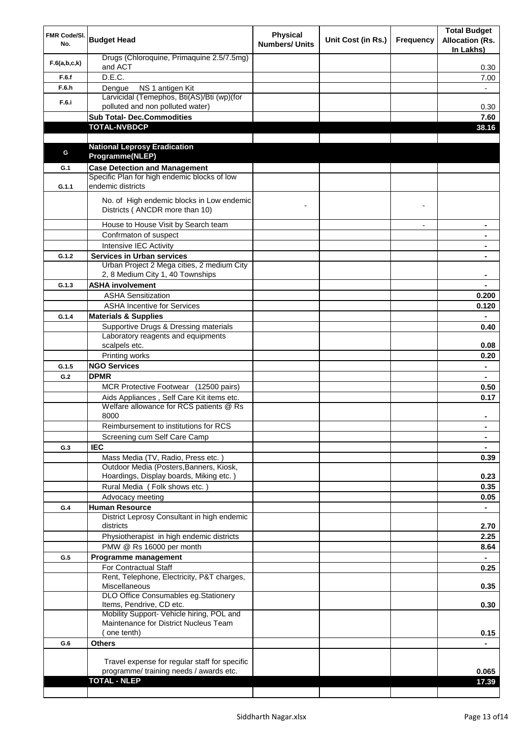| FMR Code/SI.<br>No. | <b>Budget Head</b>                                                                           | <b>Physical</b><br><b>Numbers/ Units</b> | Unit Cost (in Rs.) | <b>Frequency</b> | <b>Total Budget</b><br><b>Allocation (Rs.</b> |
|---------------------|----------------------------------------------------------------------------------------------|------------------------------------------|--------------------|------------------|-----------------------------------------------|
| F.6(a,b,c,k)        | Drugs (Chloroquine, Primaquine 2.5/7.5mg)<br>and ACT                                         |                                          |                    |                  | In Lakhs)<br>0.30                             |
| F.6.f               | D.E.C.                                                                                       |                                          |                    |                  | 7.00                                          |
| F.6.h               | NS 1 antigen Kit<br>Dengue                                                                   |                                          |                    |                  |                                               |
|                     | Larvicidal (Temephos, Bti(AS)/Bti (wp)(for                                                   |                                          |                    |                  |                                               |
| F.6.i               | polluted and non polluted water)                                                             |                                          |                    |                  | 0.30                                          |
|                     | <b>Sub Total- Dec.Commodities</b>                                                            |                                          |                    |                  | 7.60                                          |
|                     | <b>TOTAL-NVBDCP</b>                                                                          |                                          |                    |                  | 38.16                                         |
|                     |                                                                                              |                                          |                    |                  |                                               |
| G                   | <b>National Leprosy Eradication</b>                                                          |                                          |                    |                  |                                               |
|                     | Programme(NLEP)                                                                              |                                          |                    |                  |                                               |
| G.1                 | <b>Case Detection and Management</b><br>Specific Plan for high endemic blocks of low         |                                          |                    |                  |                                               |
| G.1.1               | endemic districts                                                                            |                                          |                    |                  |                                               |
|                     | No. of High endemic blocks in Low endemic<br>Districts (ANCDR more than 10)                  |                                          |                    |                  |                                               |
|                     | House to House Visit by Search team                                                          |                                          |                    |                  |                                               |
|                     | Confrmaton of suspect                                                                        |                                          |                    |                  |                                               |
|                     | Intensive IEC Activity                                                                       |                                          |                    |                  |                                               |
| G.1.2               | <b>Services in Urban services</b>                                                            |                                          |                    |                  |                                               |
|                     | Urban Project 2 Mega cities, 2 medium City<br>2, 8 Medium City 1, 40 Townships               |                                          |                    |                  |                                               |
| G.1.3               | <b>ASHA involvement</b>                                                                      |                                          |                    |                  |                                               |
|                     | <b>ASHA Sensitization</b>                                                                    |                                          |                    |                  | 0.200                                         |
|                     | <b>ASHA Incentive for Services</b>                                                           |                                          |                    |                  | 0.120                                         |
| G.1.4               | <b>Materials &amp; Supplies</b>                                                              |                                          |                    |                  |                                               |
|                     | Supportive Drugs & Dressing materials<br>Laboratory reagents and equipments<br>scalpels etc. |                                          |                    |                  | 0.40<br>0.08                                  |
|                     | Printing works                                                                               |                                          |                    |                  | 0.20                                          |
| G.1.5               | <b>NGO Services</b>                                                                          |                                          |                    |                  | $\blacksquare$                                |
| G.2                 | <b>DPMR</b>                                                                                  |                                          |                    |                  | $\blacksquare$                                |
|                     | MCR Protective Footwear (12500 pairs)                                                        |                                          |                    |                  | 0.50                                          |
|                     | Aids Appliances, Self Care Kit items etc.                                                    |                                          |                    |                  | 0.17                                          |
|                     | Welfare allowance for RCS patients @ Rs<br>8000                                              |                                          |                    |                  |                                               |
|                     | Reimbursement to institutions for RCS                                                        |                                          |                    |                  | ۰                                             |
|                     | Screening cum Self Care Camp                                                                 |                                          |                    |                  |                                               |
| G.3                 | <b>IEC</b>                                                                                   |                                          |                    |                  |                                               |
|                     | Mass Media (TV, Radio, Press etc.)                                                           |                                          |                    |                  | 0.39                                          |
|                     | Outdoor Media (Posters, Banners, Kiosk,                                                      |                                          |                    |                  |                                               |
|                     | Hoardings, Display boards, Miking etc.)                                                      |                                          |                    |                  | 0.23                                          |
|                     | Rural Media (Folk shows etc.)<br>Advocacy meeting                                            |                                          |                    |                  | 0.35                                          |
| G.4                 | <b>Human Resource</b>                                                                        |                                          |                    |                  | 0.05<br>$\blacksquare$                        |
|                     | District Leprosy Consultant in high endemic<br>districts                                     |                                          |                    |                  | 2.70                                          |
|                     | Physiotherapist in high endemic districts                                                    |                                          |                    |                  | 2.25                                          |
|                     | PMW @ Rs 16000 per month                                                                     |                                          |                    |                  | 8.64                                          |
| G.5                 | Programme management                                                                         |                                          |                    |                  |                                               |
|                     | For Contractual Staff                                                                        |                                          |                    |                  | 0.25                                          |
|                     | Rent, Telephone, Electricity, P&T charges,<br>Miscellaneous                                  |                                          |                    |                  | 0.35                                          |
|                     | DLO Office Consumables eg. Stationery                                                        |                                          |                    |                  |                                               |
|                     | Items, Pendrive, CD etc.                                                                     |                                          |                    |                  | 0.30                                          |
|                     | Mobility Support- Vehicle hiring, POL and                                                    |                                          |                    |                  |                                               |
|                     | Maintenance for District Nucleus Team<br>(one tenth)                                         |                                          |                    |                  |                                               |
| G.6                 | <b>Others</b>                                                                                |                                          |                    |                  | 0.15                                          |
|                     |                                                                                              |                                          |                    |                  |                                               |
|                     | Travel expense for regular staff for specific                                                |                                          |                    |                  |                                               |
|                     | programme/ training needs / awards etc.                                                      |                                          |                    |                  | 0.065                                         |
|                     | <b>TOTAL - NLEP</b>                                                                          |                                          |                    |                  | 17.39                                         |
|                     |                                                                                              |                                          |                    |                  |                                               |